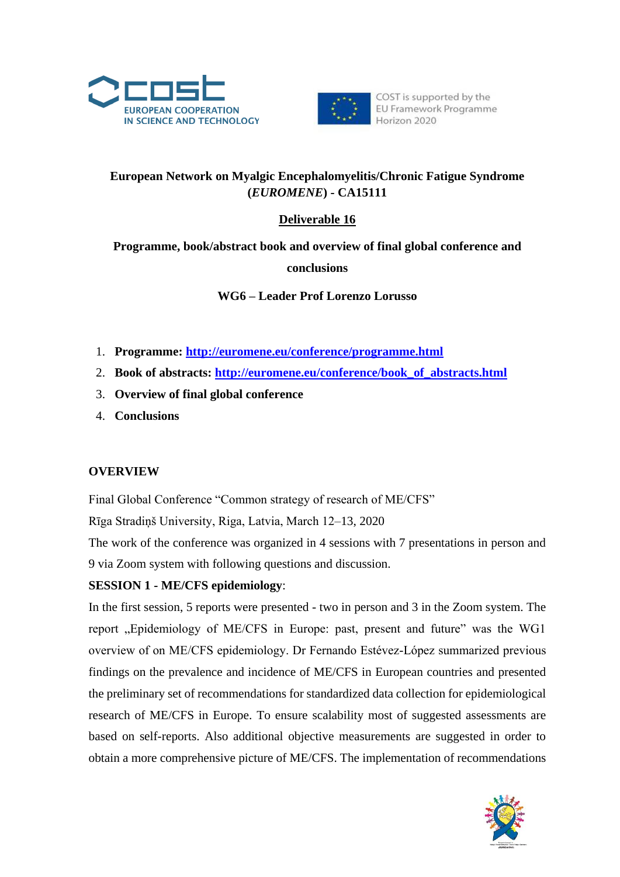



# **European Network on Myalgic Encephalomyelitis/Chronic Fatigue Syndrome (***EUROMENE***) - CA15111**

## **Deliverable 16**

# **Programme, book/abstract book and overview of final global conference and conclusions**

**WG6 – Leader Prof Lorenzo Lorusso**

- 1. **Programme:<http://euromene.eu/conference/programme.html>**
- 2. **Book of abstracts: [http://euromene.eu/conference/book\\_of\\_abstracts.html](http://euromene.eu/conference/book_of_abstracts.html)**
- 3. **Overview of final global conference**
- 4. **Conclusions**

### **OVERVIEW**

Final Global Conference "Common strategy of research of ME/CFS"

Rīga Stradiņš University, Riga, Latvia, March 12–13, 2020

The work of the conference was organized in 4 sessions with 7 presentations in person and 9 via Zoom system with following questions and discussion.

## **SESSION 1 - ME/CFS epidemiology**:

In the first session, 5 reports were presented - two in person and 3 in the Zoom system. The report "Epidemiology of ME/CFS in Europe: past, present and future" was the WG1 overview of on ME/CFS epidemiology. Dr Fernando Estévez-López summarized previous findings on the prevalence and incidence of ME/CFS in European countries and presented the preliminary set of recommendations for standardized data collection for epidemiological research of ME/CFS in Europe. To ensure scalability most of suggested assessments are based on self-reports. Also additional objective measurements are suggested in order to obtain a more comprehensive picture of ME/CFS. The implementation of recommendations

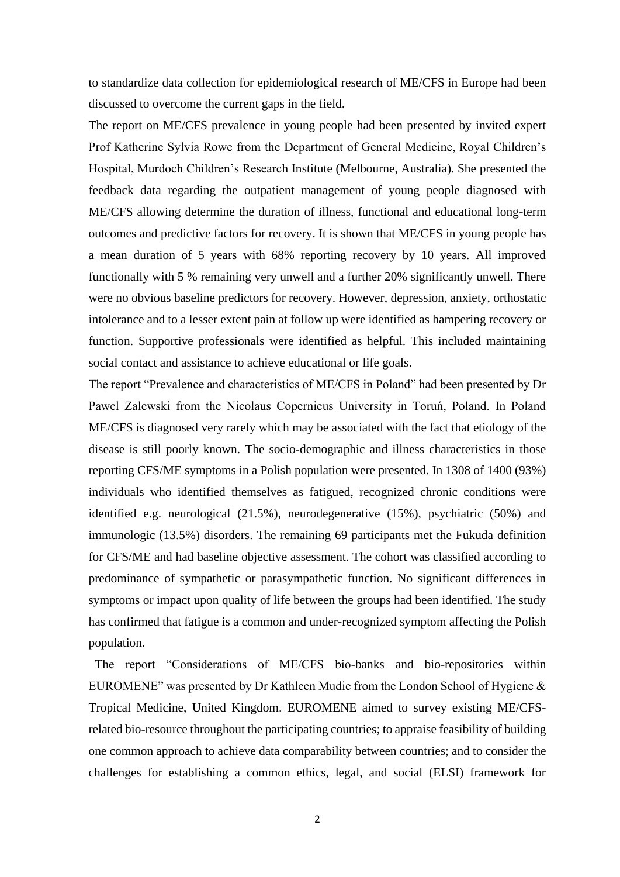to standardize data collection for epidemiological research of ME/CFS in Europe had been discussed to overcome the current gaps in the field.

The report on ME/CFS prevalence in young people had been presented by invited expert Prof Katherine Sylvia Rowe from the Department of General Medicine, Royal Children's Hospital, Murdoch Children's Research Institute (Melbourne, Australia). She presented the feedback data regarding the outpatient management of young people diagnosed with ME/CFS allowing determine the duration of illness, functional and educational long-term outcomes and predictive factors for recovery. It is shown that ME/CFS in young people has a mean duration of 5 years with 68% reporting recovery by 10 years. All improved functionally with 5 % remaining very unwell and a further 20% significantly unwell. There were no obvious baseline predictors for recovery. However, depression, anxiety, orthostatic intolerance and to a lesser extent pain at follow up were identified as hampering recovery or function. Supportive professionals were identified as helpful. This included maintaining social contact and assistance to achieve educational or life goals.

The report "Prevalence and characteristics of ME/CFS in Poland" had been presented by Dr Pawel Zalewski from the Nicolaus Copernicus University in Toruń, Poland. In Poland ME/CFS is diagnosed very rarely which may be associated with the fact that etiology of the disease is still poorly known. The socio-demographic and illness characteristics in those reporting CFS/ME symptoms in a Polish population were presented. In 1308 of 1400 (93%) individuals who identified themselves as fatigued, recognized chronic conditions were identified e.g. neurological (21.5%), neurodegenerative (15%), psychiatric (50%) and immunologic (13.5%) disorders. The remaining 69 participants met the Fukuda definition for CFS/ME and had baseline objective assessment. The cohort was classified according to predominance of sympathetic or parasympathetic function. No significant differences in symptoms or impact upon quality of life between the groups had been identified. The study has confirmed that fatigue is a common and under-recognized symptom affecting the Polish population.

 The report "Considerations of ME/CFS bio-banks and bio-repositories within EUROMENE" was presented by Dr Kathleen Mudie from the London School of Hygiene & Tropical Medicine, United Kingdom. EUROMENE aimed to survey existing ME/CFSrelated bio-resource throughout the participating countries; to appraise feasibility of building one common approach to achieve data comparability between countries; and to consider the challenges for establishing a common ethics, legal, and social (ELSI) framework for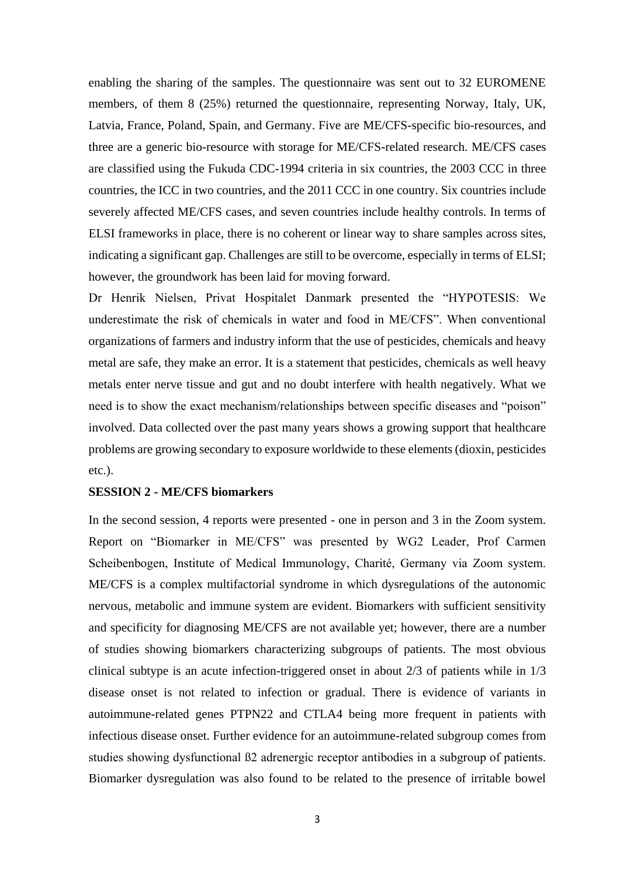enabling the sharing of the samples. The questionnaire was sent out to 32 EUROMENE members, of them 8 (25%) returned the questionnaire, representing Norway, Italy, UK, Latvia, France, Poland, Spain, and Germany. Five are ME/CFS-specific bio-resources, and three are a generic bio-resource with storage for ME/CFS-related research. ME/CFS cases are classified using the Fukuda CDC-1994 criteria in six countries, the 2003 CCC in three countries, the ICC in two countries, and the 2011 CCC in one country. Six countries include severely affected ME/CFS cases, and seven countries include healthy controls. In terms of ELSI frameworks in place, there is no coherent or linear way to share samples across sites, indicating a significant gap. Challenges are still to be overcome, especially in terms of ELSI; however, the groundwork has been laid for moving forward.

Dr Henrik Nielsen, Privat Hospitalet Danmark presented the "HYPOTESIS: We underestimate the risk of chemicals in water and food in ME/CFS". When conventional organizations of farmers and industry inform that the use of pesticides, chemicals and heavy metal are safe, they make an error. It is a statement that pesticides, chemicals as well heavy metals enter nerve tissue and gut and no doubt interfere with health negatively. What we need is to show the exact mechanism/relationships between specific diseases and "poison" involved. Data collected over the past many years shows a growing support that healthcare problems are growing secondary to exposure worldwide to these elements (dioxin, pesticides etc.).

#### **SESSION 2 - ME/CFS biomarkers**

In the second session, 4 reports were presented - one in person and 3 in the Zoom system. Report on "Biomarker in ME/CFS" was presented by WG2 Leader, Prof Carmen Scheibenbogen, Institute of Medical Immunology, Charité, Germany via Zoom system. ME/CFS is a complex multifactorial syndrome in which dysregulations of the autonomic nervous, metabolic and immune system are evident. Biomarkers with sufficient sensitivity and specificity for diagnosing ME/CFS are not available yet; however, there are a number of studies showing biomarkers characterizing subgroups of patients. The most obvious clinical subtype is an acute infection-triggered onset in about 2/3 of patients while in 1/3 disease onset is not related to infection or gradual. There is evidence of variants in autoimmune-related genes PTPN22 and CTLA4 being more frequent in patients with infectious disease onset. Further evidence for an autoimmune-related subgroup comes from studies showing dysfunctional ß2 adrenergic receptor antibodies in a subgroup of patients. Biomarker dysregulation was also found to be related to the presence of irritable bowel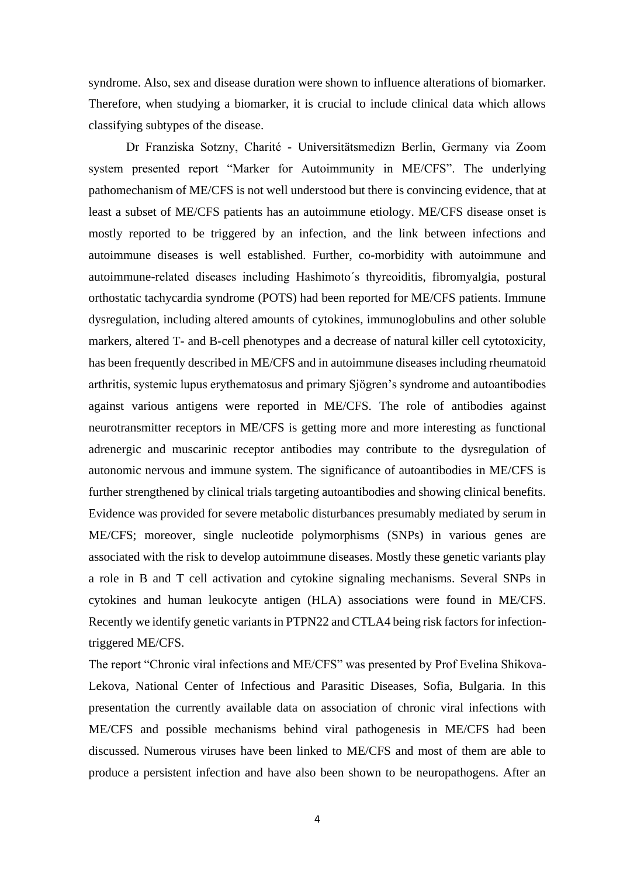syndrome. Also, sex and disease duration were shown to influence alterations of biomarker. Therefore, when studying a biomarker, it is crucial to include clinical data which allows classifying subtypes of the disease.

Dr Franziska Sotzny, Charité - Universitätsmedizn Berlin, Germany via Zoom system presented report "Marker for Autoimmunity in ME/CFS". The underlying pathomechanism of ME/CFS is not well understood but there is convincing evidence, that at least a subset of ME/CFS patients has an autoimmune etiology. ME/CFS disease onset is mostly reported to be triggered by an infection, and the link between infections and autoimmune diseases is well established. Further, co-morbidity with autoimmune and autoimmune-related diseases including Hashimoto´s thyreoiditis, fibromyalgia, postural orthostatic tachycardia syndrome (POTS) had been reported for ME/CFS patients. Immune dysregulation, including altered amounts of cytokines, immunoglobulins and other soluble markers, altered T- and B-cell phenotypes and a decrease of natural killer cell cytotoxicity, has been frequently described in ME/CFS and in autoimmune diseases including rheumatoid arthritis, systemic lupus erythematosus and primary Sjögren's syndrome and autoantibodies against various antigens were reported in ME/CFS. The role of antibodies against neurotransmitter receptors in ME/CFS is getting more and more interesting as functional adrenergic and muscarinic receptor antibodies may contribute to the dysregulation of autonomic nervous and immune system. The significance of autoantibodies in ME/CFS is further strengthened by clinical trials targeting autoantibodies and showing clinical benefits. Evidence was provided for severe metabolic disturbances presumably mediated by serum in ME/CFS; moreover, single nucleotide polymorphisms (SNPs) in various genes are associated with the risk to develop autoimmune diseases. Mostly these genetic variants play a role in B and T cell activation and cytokine signaling mechanisms. Several SNPs in cytokines and human leukocyte antigen (HLA) associations were found in ME/CFS. Recently we identify genetic variants in PTPN22 and CTLA4 being risk factors for infectiontriggered ME/CFS.

The report "Chronic viral infections and ME/CFS" was presented by Prof Evelina Shikova-Lekova, National Center of Infectious and Parasitic Diseases, Sofia, Bulgaria. In this presentation the currently available data on association of chronic viral infections with ME/CFS and possible mechanisms behind viral pathogenesis in ME/CFS had been discussed. Numerous viruses have been linked to ME/CFS and most of them are able to produce a persistent infection and have also been shown to be neuropathogens. After an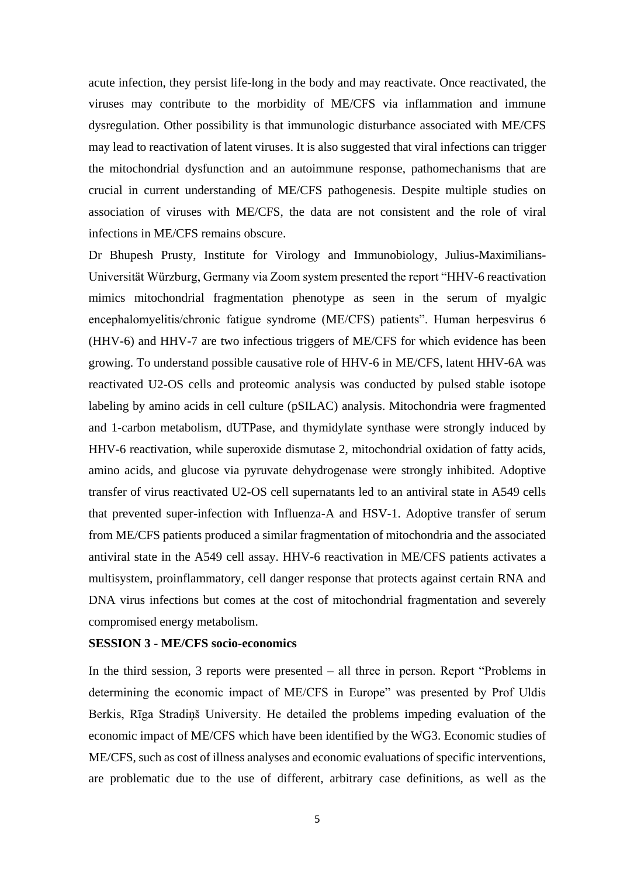acute infection, they persist life-long in the body and may reactivate. Once reactivated, the viruses may contribute to the morbidity of ME/CFS via inflammation and immune dysregulation. Other possibility is that immunologic disturbance associated with ME/CFS may lead to reactivation of latent viruses. It is also suggested that viral infections can trigger the mitochondrial dysfunction and an autoimmune response, pathomechanisms that are crucial in current understanding of ME/CFS pathogenesis. Despite multiple studies on association of viruses with ME/CFS, the data are not consistent and the role of viral infections in ME/CFS remains obscure.

Dr Bhupesh Prusty, Institute for Virology and Immunobiology, Julius-Maximilians-Universität Würzburg, Germany via Zoom system presented the report "HHV-6 reactivation mimics mitochondrial fragmentation phenotype as seen in the serum of myalgic encephalomyelitis/chronic fatigue syndrome (ME/CFS) patients". Human herpesvirus 6 (HHV-6) and HHV-7 are two infectious triggers of ME/CFS for which evidence has been growing. To understand possible causative role of HHV-6 in ME/CFS, latent HHV-6A was reactivated U2-OS cells and proteomic analysis was conducted by pulsed stable isotope labeling by amino acids in cell culture (pSILAC) analysis. Mitochondria were fragmented and 1-carbon metabolism, dUTPase, and thymidylate synthase were strongly induced by HHV-6 reactivation, while superoxide dismutase 2, mitochondrial oxidation of fatty acids, amino acids, and glucose via pyruvate dehydrogenase were strongly inhibited. Adoptive transfer of virus reactivated U2-OS cell supernatants led to an antiviral state in A549 cells that prevented super-infection with Influenza-A and HSV-1. Adoptive transfer of serum from ME/CFS patients produced a similar fragmentation of mitochondria and the associated antiviral state in the A549 cell assay. HHV-6 reactivation in ME/CFS patients activates a multisystem, proinflammatory, cell danger response that protects against certain RNA and DNA virus infections but comes at the cost of mitochondrial fragmentation and severely compromised energy metabolism.

#### **SESSION 3 - ME/CFS socio-economics**

In the third session, 3 reports were presented – all three in person. Report "Problems in determining the economic impact of ME/CFS in Europe" was presented by Prof Uldis Berkis, Rīga Stradiņš University. He detailed the problems impeding evaluation of the economic impact of ME/CFS which have been identified by the WG3. Economic studies of ME/CFS, such as cost of illness analyses and economic evaluations of specific interventions, are problematic due to the use of different, arbitrary case definitions, as well as the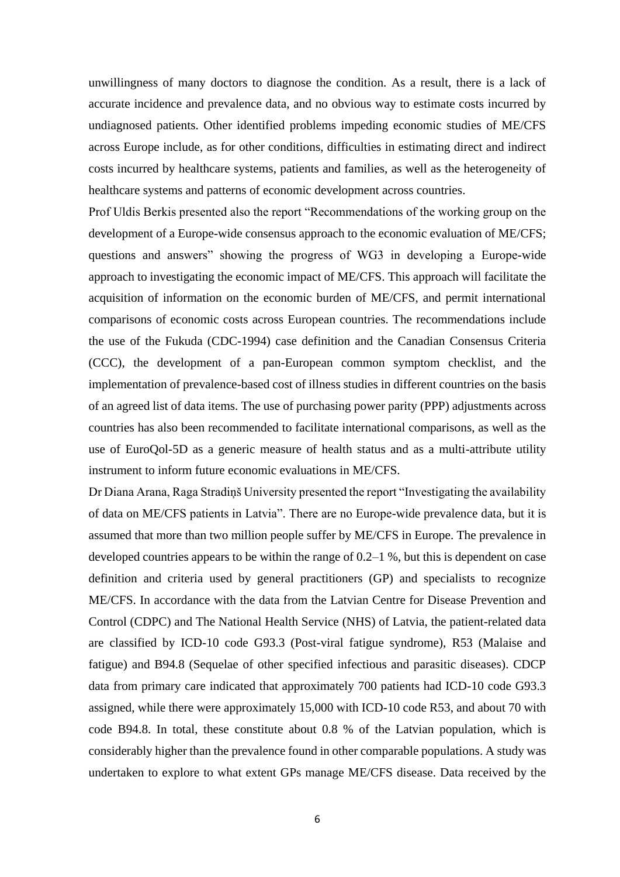unwillingness of many doctors to diagnose the condition. As a result, there is a lack of accurate incidence and prevalence data, and no obvious way to estimate costs incurred by undiagnosed patients. Other identified problems impeding economic studies of ME/CFS across Europe include, as for other conditions, difficulties in estimating direct and indirect costs incurred by healthcare systems, patients and families, as well as the heterogeneity of healthcare systems and patterns of economic development across countries.

Prof Uldis Berkis presented also the report "Recommendations of the working group on the development of a Europe-wide consensus approach to the economic evaluation of ME/CFS; questions and answers" showing the progress of WG3 in developing a Europe-wide approach to investigating the economic impact of ME/CFS. This approach will facilitate the acquisition of information on the economic burden of ME/CFS, and permit international comparisons of economic costs across European countries. The recommendations include the use of the Fukuda (CDC-1994) case definition and the Canadian Consensus Criteria (CCC), the development of a pan-European common symptom checklist, and the implementation of prevalence-based cost of illness studies in different countries on the basis of an agreed list of data items. The use of purchasing power parity (PPP) adjustments across countries has also been recommended to facilitate international comparisons, as well as the use of EuroQol-5D as a generic measure of health status and as a multi-attribute utility instrument to inform future economic evaluations in ME/CFS.

Dr Diana Arana, Raga Stradiņš University presented the report "Investigating the availability of data on ME/CFS patients in Latvia". There are no Europe-wide prevalence data, but it is assumed that more than two million people suffer by ME/CFS in Europe. The prevalence in developed countries appears to be within the range of 0.2–1 %, but this is dependent on case definition and criteria used by general practitioners (GP) and specialists to recognize ME/CFS. In accordance with the data from the Latvian Centre for Disease Prevention and Control (CDPC) and The National Health Service (NHS) of Latvia, the patient-related data are classified by ICD-10 code G93.3 (Post-viral fatigue syndrome), R53 (Malaise and fatigue) and B94.8 (Sequelae of other specified infectious and parasitic diseases). CDCP data from primary care indicated that approximately 700 patients had ICD-10 code G93.3 assigned, while there were approximately 15,000 with ICD-10 code R53, and about 70 with code B94.8. In total, these constitute about 0.8 % of the Latvian population, which is considerably higher than the prevalence found in other comparable populations. A study was undertaken to explore to what extent GPs manage ME/CFS disease. Data received by the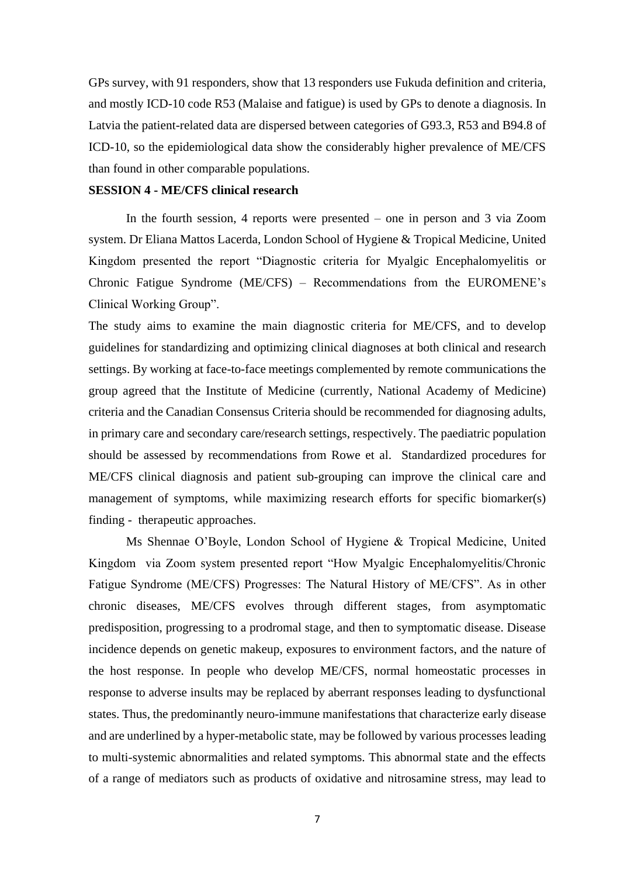GPs survey, with 91 responders, show that 13 responders use Fukuda definition and criteria, and mostly ICD-10 code R53 (Malaise and fatigue) is used by GPs to denote a diagnosis. In Latvia the patient-related data are dispersed between categories of G93.3, R53 and B94.8 of ICD-10, so the epidemiological data show the considerably higher prevalence of ME/CFS than found in other comparable populations.

#### **SESSION 4 - ME/CFS clinical research**

In the fourth session, 4 reports were presented – one in person and 3 via Zoom system. Dr Eliana Mattos Lacerda, London School of Hygiene & Tropical Medicine, United Kingdom presented the report "Diagnostic criteria for Myalgic Encephalomyelitis or Chronic Fatigue Syndrome (ME/CFS) – Recommendations from the EUROMENE's Clinical Working Group".

The study aims to examine the main diagnostic criteria for ME/CFS, and to develop guidelines for standardizing and optimizing clinical diagnoses at both clinical and research settings. By working at face-to-face meetings complemented by remote communications the group agreed that the Institute of Medicine (currently, National Academy of Medicine) criteria and the Canadian Consensus Criteria should be recommended for diagnosing adults, in primary care and secondary care/research settings, respectively. The paediatric population should be assessed by recommendations from Rowe et al. Standardized procedures for ME/CFS clinical diagnosis and patient sub-grouping can improve the clinical care and management of symptoms, while maximizing research efforts for specific biomarker(s) finding - therapeutic approaches.

Ms Shennae O'Boyle, London School of Hygiene & Tropical Medicine, United Kingdom via Zoom system presented report "How Myalgic Encephalomyelitis/Chronic Fatigue Syndrome (ME/CFS) Progresses: The Natural History of ME/CFS". As in other chronic diseases, ME/CFS evolves through different stages, from asymptomatic predisposition, progressing to a prodromal stage, and then to symptomatic disease. Disease incidence depends on genetic makeup, exposures to environment factors, and the nature of the host response. In people who develop ME/CFS, normal homeostatic processes in response to adverse insults may be replaced by aberrant responses leading to dysfunctional states. Thus, the predominantly neuro-immune manifestations that characterize early disease and are underlined by a hyper-metabolic state, may be followed by various processes leading to multi-systemic abnormalities and related symptoms. This abnormal state and the effects of a range of mediators such as products of oxidative and nitrosamine stress, may lead to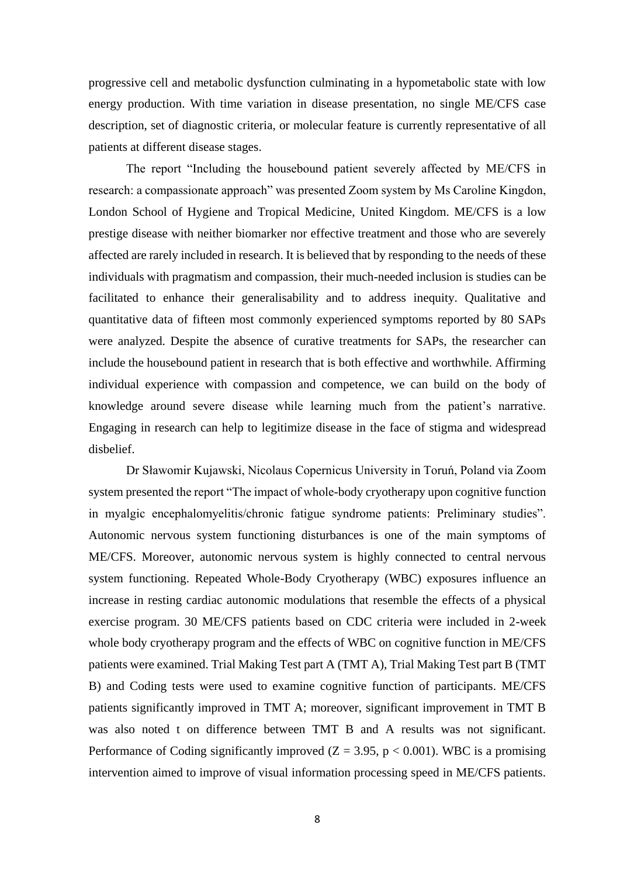progressive cell and metabolic dysfunction culminating in a hypometabolic state with low energy production. With time variation in disease presentation, no single ME/CFS case description, set of diagnostic criteria, or molecular feature is currently representative of all patients at different disease stages.

The report "Including the housebound patient severely affected by ME/CFS in research: a compassionate approach" was presented Zoom system by Ms Caroline Kingdon, London School of Hygiene and Tropical Medicine, United Kingdom. ME/CFS is a low prestige disease with neither biomarker nor effective treatment and those who are severely affected are rarely included in research. It is believed that by responding to the needs of these individuals with pragmatism and compassion, their much-needed inclusion is studies can be facilitated to enhance their generalisability and to address inequity. Qualitative and quantitative data of fifteen most commonly experienced symptoms reported by 80 SAPs were analyzed. Despite the absence of curative treatments for SAPs, the researcher can include the housebound patient in research that is both effective and worthwhile. Affirming individual experience with compassion and competence, we can build on the body of knowledge around severe disease while learning much from the patient's narrative. Engaging in research can help to legitimize disease in the face of stigma and widespread disbelief.

Dr Sławomir Kujawski, Nicolaus Copernicus University in Toruń, Poland via Zoom system presented the report "The impact of whole-body cryotherapy upon cognitive function in myalgic encephalomyelitis/chronic fatigue syndrome patients: Preliminary studies". Autonomic nervous system functioning disturbances is one of the main symptoms of ME/CFS. Moreover, autonomic nervous system is highly connected to central nervous system functioning. Repeated Whole-Body Cryotherapy (WBC) exposures influence an increase in resting cardiac autonomic modulations that resemble the effects of a physical exercise program. 30 ME/CFS patients based on CDC criteria were included in 2-week whole body cryotherapy program and the effects of WBC on cognitive function in ME/CFS patients were examined. Trial Making Test part A (TMT A), Trial Making Test part B (TMT B) and Coding tests were used to examine cognitive function of participants. ME/CFS patients significantly improved in TMT A; moreover, significant improvement in TMT B was also noted t on difference between TMT B and A results was not significant. Performance of Coding significantly improved  $(Z = 3.95, p < 0.001)$ . WBC is a promising intervention aimed to improve of visual information processing speed in ME/CFS patients.